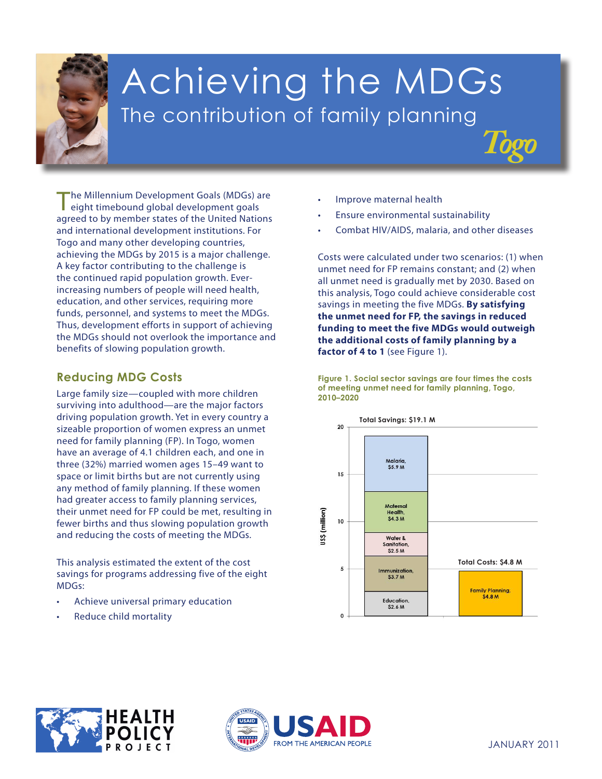

# Achieving the MDGs The contribution of family planning

The Millennium Development Goals (MDGs) are eight timebound global development goals agreed to by member states of the United Nations and international development institutions. For Togo and many other developing countries, achieving the MDGs by 2015 is a major challenge. A key factor contributing to the challenge is the continued rapid population growth. Everincreasing numbers of people will need health, education, and other services, requiring more funds, personnel, and systems to meet the MDGs. Thus, development efforts in support of achieving the MDGs should not overlook the importance and benefits of slowing population growth.

## **Reducing MDG Costs**

and reducing the costs of meeting the MDGs. Large family size—coupled with more children surviving into adulthood—are the major factors driving population growth. Yet in every country a sizeable proportion of women express an unmet need for family planning (FP). In Togo, women have an average of 4.1 children each, and one in three (32%) married women ages 15–49 want to space or limit births but are not currently using any method of family planning. If these women had greater access to family planning services, their unmet need for FP could be met, resulting in fewer births and thus slowing population growth

**This analysis estimated the extent of the cost** savings for programs addressing five of the eight **3. Promote gender** MDGs: **equality andempower**

- **women** • Achieve universal primary education
- **4. Reduce child mortality** Reduce child mortality
- Improve maternal health
- Ensure environmental sustainability
- Combat HIV/AIDS, malaria, and other diseases

*Togo*

Costs were calculated under two scenarios: (1) when unmet need for FP remains constant; and (2) when all unmet need is gradually met by 2030. Based on this analysis, Togo could achieve considerable cost savings in meeting the five MDGs. **By satisfying the unmet need for FP, the savings in reduced funding to meet the five MDGs would outweigh the additional costs of family planning by a**  factor of 4 to 1 (see Figure 1).

**Figure 1. Social sector savings are four times the costs of meeting unmet need for family planning, Togo, 2010–2020**